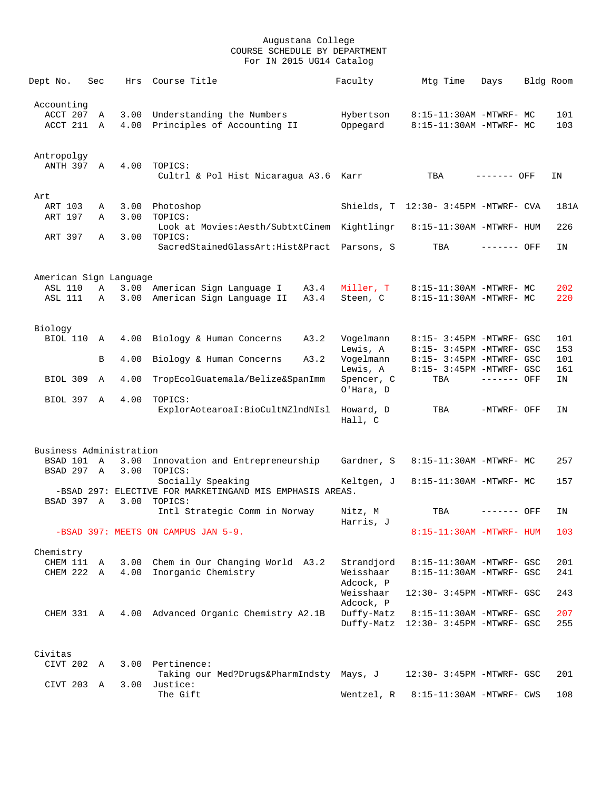| Dept No.                                 | Sec         | Hrs          | Course Title                                                        | Faculty                 | Mtg Time                                             | Days         | Bldg Room  |
|------------------------------------------|-------------|--------------|---------------------------------------------------------------------|-------------------------|------------------------------------------------------|--------------|------------|
| Accounting<br>ACCT 207 A<br>ACCT 211 A   |             | 4.00         | 3.00 Understanding the Numbers<br>Principles of Accounting II       | Hybertson<br>Oppegard   | 8:15-11:30AM -MTWRF- MC<br>8:15-11:30AM -MTWRF- MC   |              | 101<br>103 |
|                                          |             |              |                                                                     |                         |                                                      |              |            |
| Antropolgy<br>ANTH 397 A                 |             | 4.00         | TOPICS:                                                             |                         |                                                      |              |            |
|                                          |             |              | Cultrl & Pol Hist Nicaraqua A3.6                                    | Karr                    | TBA                                                  | ------- OFF  | ΙN         |
| Art                                      |             |              |                                                                     |                         |                                                      |              |            |
| ART 103<br>ART 197                       | Α<br>Α      | 3.00         | 3.00 Photoshop<br>TOPICS:                                           |                         | Shields, T 12:30- 3:45PM -MTWRF- CVA                 |              | 181A       |
|                                          |             |              | Look at Movies: Aesth/SubtxtCinem Kightlingr                        |                         | 8:15-11:30AM -MTWRF- HUM                             |              | 226        |
| ART 397                                  | Α           | 3.00         | TOPICS:<br>SacredStainedGlassArt: Hist&Pract Parsons, S             |                         | TBA                                                  | ------- OFF  | IN         |
|                                          |             |              |                                                                     |                         |                                                      |              |            |
| American Sign Language<br><b>ASL 110</b> | Α           |              | 3.00 American Sign Language I<br>A3.4                               | Miller, T               | 8:15-11:30AM -MTWRF- MC                              |              | 202        |
| <b>ASL 111</b>                           | Α           | 3.00         | American Sign Language II<br>A3.4                                   | Steen, C                | 8:15-11:30AM -MTWRF- MC                              |              | 220        |
|                                          |             |              |                                                                     |                         |                                                      |              |            |
| Biology                                  |             |              |                                                                     |                         |                                                      |              |            |
| BIOL 110                                 | A           | 4.00         | Biology & Human Concerns<br>A3.2                                    | Vogelmann               | 8:15- 3:45PM -MTWRF- GSC                             |              | 101        |
|                                          |             |              |                                                                     | Lewis, A                | 8:15- 3:45PM -MTWRF- GSC                             |              | 153        |
|                                          | B           | 4.00         | Biology & Human Concerns<br>A3.2                                    | Vogelmann               | 8:15- 3:45PM -MTWRF- GSC                             |              | 101        |
| BIOL 309                                 | A           | 4.00         | TropEcolGuatemala/Belize&SpanImm                                    | Lewis, A<br>Spencer, C  | 8:15- 3:45PM -MTWRF- GSC<br>TBA                      | $------$ OFF | 161<br>ΙN  |
| BIOL 397 A                               |             | 4.00         | TOPICS:                                                             | O'Hara, D               |                                                      |              |            |
|                                          |             |              | ExplorAotearoaI:BioCultNZlndNIsl                                    | Howard, D<br>Hall, C    | TBA                                                  | -MTWRF- OFF  | ΙN         |
|                                          |             |              |                                                                     |                         |                                                      |              |            |
| Business Administration                  |             |              |                                                                     |                         |                                                      |              |            |
| BSAD 101<br>BSAD 297 A                   | $\mathbb A$ | 3.00<br>3.00 | Innovation and Entrepreneurship<br>TOPICS:                          | Gardner, S              | 8:15-11:30AM -MTWRF- MC                              |              | 257        |
|                                          |             |              | Socially Speaking                                                   | Keltgen, J              | 8:15-11:30AM -MTWRF- MC                              |              | 157        |
| BSAD 397 A                               |             | 3.00         | -BSAD 297: ELECTIVE FOR MARKETINGAND MIS EMPHASIS AREAS.<br>TOPICS: |                         |                                                      |              |            |
|                                          |             |              | Intl Strategic Comm in Norway                                       | Nitz, M                 | TBA                                                  | ------- OFF  | ΙN         |
|                                          |             |              |                                                                     | Harris, J               |                                                      |              |            |
|                                          |             |              | -BSAD 397: MEETS ON CAMPUS JAN 5-9.                                 |                         | 8:15-11:30AM -MTWRF- HUM                             |              | 103        |
| Chemistry                                |             |              |                                                                     |                         |                                                      |              |            |
| CHEM 111<br>CHEM 222                     | A           | 3.00<br>4.00 | Chem in Our Changing World A3.2<br>Inorganic Chemistry              | Strandjord<br>Weisshaar | 8:15-11:30AM -MTWRF- GSC<br>8:15-11:30AM -MTWRF- GSC |              | 201<br>241 |
|                                          | Α           |              |                                                                     | Adcock, P               |                                                      |              |            |
|                                          |             |              |                                                                     | Weisshaar<br>Adcock, P  | 12:30- 3:45PM -MTWRF- GSC                            |              | 243        |
| CHEM 331 A                               |             | 4.00         | Advanced Organic Chemistry A2.1B                                    | Duffy-Matz              | 8:15-11:30AM -MTWRF- GSC                             |              | 207        |
|                                          |             |              |                                                                     | Duffy-Matz              | 12:30- 3:45PM -MTWRF- GSC                            |              | 255        |
| Civitas                                  |             |              |                                                                     |                         |                                                      |              |            |
| CIVT 202                                 | A           | 3.00         | Pertinence:                                                         |                         |                                                      |              |            |
| CIVT 203 A                               |             | 3.00         | Taking our Med?Drugs&PharmIndsty Mays, J<br>Justice:                |                         | 12:30- 3:45PM -MTWRF- GSC                            |              | 201        |
|                                          |             |              | The Gift                                                            | Wentzel, R              | 8:15-11:30AM -MTWRF- CWS                             |              | 108        |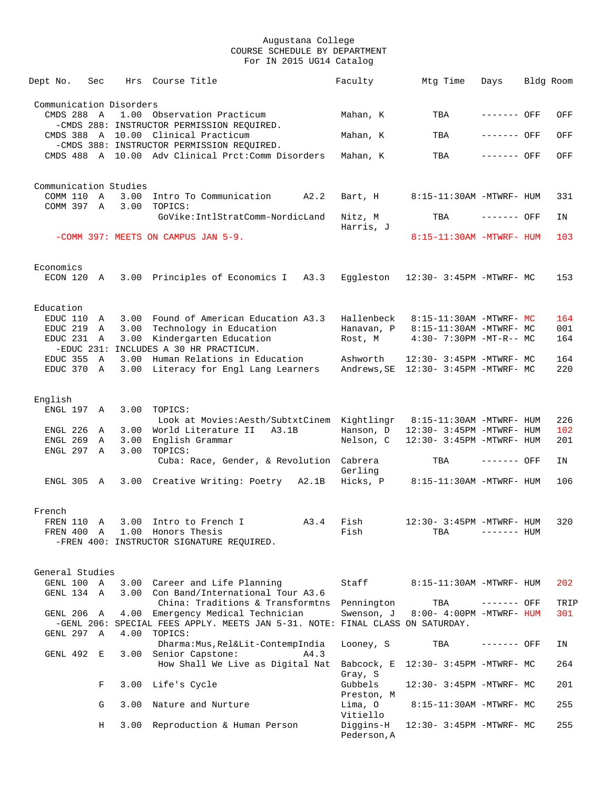| Dept No.                              | Sec |      | Hrs Course Title                                                                                                   | Faculty                              | Mtg Time                             | Days         | Bldg Room |            |
|---------------------------------------|-----|------|--------------------------------------------------------------------------------------------------------------------|--------------------------------------|--------------------------------------|--------------|-----------|------------|
|                                       |     |      |                                                                                                                    |                                      |                                      |              |           |            |
| Communication Disorders<br>CMDS 288 A |     |      | 1.00 Observation Practicum<br>-CMDS 288: INSTRUCTOR PERMISSION REQUIRED.                                           | Mahan, K                             | TBA                                  | ------- OFF  |           | OFF        |
|                                       |     |      | CMDS 388 A 10.00 Clinical Practicum                                                                                | Mahan, K                             | TBA                                  | ------- OFF  |           | OFF        |
|                                       |     |      | -CMDS 388: INSTRUCTOR PERMISSION REQUIRED.<br>CMDS 488 A 10.00 Adv Clinical Prct:Comm Disorders                    | Mahan, K                             | TBA                                  | ------- OFF  |           | OFF        |
|                                       |     |      |                                                                                                                    |                                      |                                      |              |           |            |
| Communication Studies                 |     |      |                                                                                                                    |                                      |                                      |              |           |            |
| COMM 110 A<br>COMM 397 A              |     | 3.00 | 3.00 Intro To Communication<br>A2.2<br>TOPICS:                                                                     | Bart, H                              | 8:15-11:30AM -MTWRF- HUM             |              |           | 331        |
|                                       |     |      | GoVike:IntlStratComm-NordicLand                                                                                    | Nitz, M                              | TBA                                  | ------- OFF  |           | ΙN         |
|                                       |     |      | -COMM 397: MEETS ON CAMPUS JAN 5-9.                                                                                | Harris, J                            | 8:15-11:30AM -MTWRF- HUM             |              |           | 103        |
|                                       |     |      |                                                                                                                    |                                      |                                      |              |           |            |
| Economics<br>ECON 120 A               |     |      |                                                                                                                    |                                      |                                      |              |           |            |
|                                       |     |      | 3.00 Principles of Economics I A3.3                                                                                |                                      | Eggleston 12:30- 3:45PM -MTWRF- MC   |              |           | 153        |
| Education                             |     |      |                                                                                                                    |                                      |                                      |              |           |            |
| EDUC 110                              | A   | 3.00 | Found of American Education A3.3                                                                                   | Hallenbeck                           | 8:15-11:30AM -MTWRF- MC              |              |           | 164        |
| EDUC 219 A<br>EDUC 231                |     |      | 3.00 Technology in Education<br>3.00 Kindergarten Education                                                        | Hanavan, P                           | 8:15-11:30AM -MTWRF- MC              |              |           | 001        |
|                                       | A   |      | -EDUC 231: INCLUDES A 30 HR PRACTICUM.                                                                             | Rost, M                              | $4:30 - 7:30PM - MT - R - M$         |              |           | 164        |
| EDUC 355                              | A   | 3.00 | Human Relations in Education                                                                                       | Ashworth                             | 12:30- 3:45PM -MTWRF- MC             |              |           | 164        |
| EDUC 370                              | A   |      | 3.00 Literacy for Engl Lang Learners                                                                               |                                      | Andrews, SE 12:30- 3:45PM -MTWRF- MC |              |           | 220        |
| English                               |     |      |                                                                                                                    |                                      |                                      |              |           |            |
| ENGL 197 A                            |     | 3.00 | TOPICS:                                                                                                            |                                      |                                      |              |           |            |
| ENGL 226                              | A   | 3.00 | Look at Movies: Aesth/SubtxtCinem Kightlingr 8:15-11:30AM -MTWRF- HUM<br>World Literature II<br>A3.1B              | Hanson, D                            | 12:30- 3:45PM -MTWRF- HUM            |              |           | 226<br>102 |
| ENGL 269                              | A   |      | 3.00 English Grammar                                                                                               | Nelson, C                            | 12:30- 3:45PM -MTWRF- HUM            |              |           | 201        |
| ENGL 297 A                            |     | 3.00 | TOPICS:                                                                                                            |                                      |                                      |              |           |            |
|                                       |     |      | Cuba: Race, Gender, & Revolution Cabrera                                                                           | Gerling                              | TBA                                  | ------- OFF  |           | ΙN         |
| ENGL 305 A                            |     |      | 3.00 Creative Writing: Poetry A2.1B                                                                                | Hicks, P                             | 8:15-11:30AM -MTWRF- HUM             |              |           | 106        |
|                                       |     |      |                                                                                                                    |                                      |                                      |              |           |            |
| French                                |     |      |                                                                                                                    |                                      |                                      |              |           |            |
|                                       |     |      | FREN 110 A 3.00 Intro to French I A3.4<br>FREN 400 A 1.00 Honors Thesis                                            | Fish<br>Fish                         | 12:30- 3:45PM -MTWRF- HUM<br>TBA     | $------$ HUM |           | 320        |
|                                       |     |      | -FREN 400: INSTRUCTOR SIGNATURE REQUIRED.                                                                          |                                      |                                      |              |           |            |
|                                       |     |      |                                                                                                                    |                                      |                                      |              |           |            |
| General Studies<br>GENL 100 A         |     |      | 3.00 Career and Life Planning                                                                                      | Staff                                | 8:15-11:30AM -MTWRF- HUM             |              |           | 202        |
| GENL 134 A                            |     |      | 3.00 Con Band/International Tour A3.6                                                                              |                                      |                                      |              |           |            |
|                                       |     |      | China: Traditions & Transformtns                                                                                   | Pennington                           | TBA                                  | ------- OFF  |           | TRIP       |
| GENL 206 A                            |     |      | 4.00 Emergency Medical Technician<br>-GENL 206: SPECIAL FEES APPLY. MEETS JAN 5-31. NOTE: FINAL CLASS ON SATURDAY. | Swenson, J                           | 8:00- 4:00PM -MTWRF- HUM             |              |           | 301        |
| GENL 297 A                            |     |      | 4.00 TOPICS:<br>Dharma: Mus, Rel&Lit-ContempIndia                                                                  | Looney, S                            | TBA                                  | ------- OFF  |           | ΙN         |
| GENL 492 E                            |     |      | 3.00 Senior Capstone:<br>A4.3                                                                                      |                                      |                                      |              |           |            |
|                                       |     |      | How Shall We Live as Digital Nat                                                                                   | Babcock, E<br>Gray, S                | 12:30- 3:45PM -MTWRF- MC             |              |           | 264        |
|                                       | F   |      | 3.00 Life's Cycle                                                                                                  | Gubbels<br>Preston, M                | 12:30- 3:45PM -MTWRF- MC             |              |           | 201        |
|                                       | G   | 3.00 | Nature and Nurture                                                                                                 | Lima, O                              | 8:15-11:30AM -MTWRF- MC              |              |           | 255        |
|                                       | Н   | 3.00 | Reproduction & Human Person                                                                                        | Vitiello<br>Diggins-H<br>Pederson, A | $12:30-3:45PM -MTWRF-MC$             |              |           | 255        |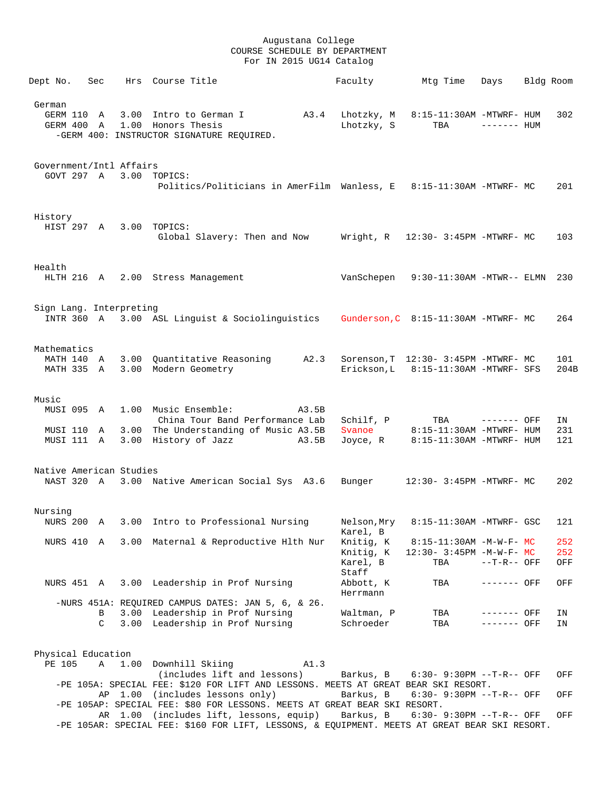| Dept No.                  | Sec           |      | Hrs Course Title                                                                                                                |       | Faculty                            | Mtg Time                                                                       | Days          | Bldg Room |                   |
|---------------------------|---------------|------|---------------------------------------------------------------------------------------------------------------------------------|-------|------------------------------------|--------------------------------------------------------------------------------|---------------|-----------|-------------------|
| German                    |               |      | GERM 110 A 3.00 Intro to German I A3.4 Lhotzky, M<br>GERM 400 A 1.00 Honors Thesis<br>-GERM 400: INSTRUCTOR SIGNATURE REQUIRED. |       | Lhotzky, S                         | 8:15-11:30AM -MTWRF- HUM<br>TBA                                                | $------$ HUM  |           | 302               |
| Government/Intl Affairs   |               |      | GOVT 297 A 3.00 TOPICS:                                                                                                         |       |                                    |                                                                                |               |           |                   |
|                           |               |      | Politics/Politicians in AmerFilm Wanless, E 8:15-11:30AM -MTWRF- MC                                                             |       |                                    |                                                                                |               |           | 201               |
| History                   |               |      | HIST 297 A 3.00 TOPICS:<br>Global Slavery: Then and Now Wright, R 12:30- 3:45PM -MTWRF- MC                                      |       |                                    |                                                                                |               |           | 103               |
| Health                    |               |      | HLTH 216 A 2.00 Stress Management                                                                                               |       |                                    | VanSchepen 9:30-11:30AM -MTWR-- ELMN 230                                       |               |           |                   |
| Sign Lang. Interpreting   |               |      | INTR 360 A 3.00 ASL Linguist & Sociolinguistics Gunderson, C 8:15-11:30AM -MTWRF- MC                                            |       |                                    |                                                                                |               |           | 264               |
| Mathematics<br>MATH 140 A |               |      | 3.00 Quantitative Reasoning A2.3<br>MATH 335 A 3.00 Modern Geometry                                                             |       |                                    | Sorenson, T 12:30- 3:45PM -MTWRF- MC<br>Erickson, L 8:15-11:30AM -MTWRF- SFS   |               |           | 101<br>204B       |
| Music<br>MUSI 095 A       |               |      | 1.00 Music Ensemble:                                                                                                            | A3.5B |                                    |                                                                                |               |           |                   |
|                           |               |      | China Tour Band Performance Lab<br>MUSI 110 A 3.00 The Understanding of Music A3.5B<br>MUSI 111 A 3.00 History of Jazz A3.5B    |       | Schilf, P<br>Joyce, R              | TBA ------- OFF<br>Svanoe 8:15-11:30AM -MTWRF- HUM<br>8:15-11:30AM -MTWRF- HUM |               |           | IN<br>231<br>121  |
| Native American Studies   |               |      |                                                                                                                                 |       |                                    |                                                                                |               |           |                   |
|                           |               |      | NAST 320 A 3.00 Native American Social Sys A3.6                                                                                 |       | Bunger                             | 12:30- 3:45PM -MTWRF- MC                                                       |               |           | 202               |
| Nursing                   |               |      | NURS 200 A 3.00 Intro to Professional Nursing Melson, Mry 8:15-11:30AM -MTWRF- GSC 121                                          |       | Karel, B                           |                                                                                |               |           |                   |
| NURS 410 A                |               |      | 3.00 Maternal & Reproductive Hlth Nur                                                                                           |       | Knitig, K<br>Knitig, K<br>Karel, B | $8:15-11:30AM$ -M-W-F- MC<br>$12:30 - 3:45PM - M - W - F - MC$<br>TBA          | $--T-R--$ OFF |           | 252<br>252<br>OFF |
|                           |               |      | NURS 451 A 3.00 Leadership in Prof Nursing                                                                                      |       | Staff<br>Abbott, K<br>Herrmann     | TBA                                                                            | ------- OFF   |           | OFF               |
|                           | B             |      | -NURS 451A: REQUIRED CAMPUS DATES: JAN 5, 6, & 26.<br>3.00 Leadership in Prof Nursing                                           |       | Waltman, P                         | TBA                                                                            | ------- OFF   |           | IN                |
|                           | $\mathcal{C}$ |      | 3.00 Leadership in Prof Nursing                                                                                                 |       | Schroeder                          | TBA                                                                            | ------- OFF   |           | ΙN                |
| Physical Education        |               |      |                                                                                                                                 |       |                                    |                                                                                |               |           |                   |
| PE 105                    | A             | 1.00 | Downhill Skiing<br>(includes lift and lessons)                                                                                  | A1.3  |                                    | $6:30-9:30PM --T-R--OFF$                                                       |               |           |                   |
|                           |               |      | -PE 105A: SPECIAL FEE: \$120 FOR LIFT AND LESSONS. MEETS AT GREAT BEAR SKI RESORT.<br>AP 1.00 (includes lessons only)           |       | Barkus, B<br>Barkus, B             | $6:30 - 9:30PM -T-R--$ OFF                                                     |               |           | OFF<br>OFF        |
|                           |               |      | -PE 105AP: SPECIAL FEE: \$80 FOR LESSONS. MEETS AT GREAT BEAR SKI RESORT.<br>AR 1.00 (includes lift, lessons, equip)            |       | Barkus, B                          | $6:30 - 9:30PM -T-R--$ OFF                                                     |               |           | OFF               |
|                           |               |      |                                                                                                                                 |       |                                    |                                                                                |               |           |                   |

-PE 105AR: SPECIAL FEE: \$160 FOR LIFT, LESSONS, & EQUIPMENT. MEETS AT GREAT BEAR SKI RESORT.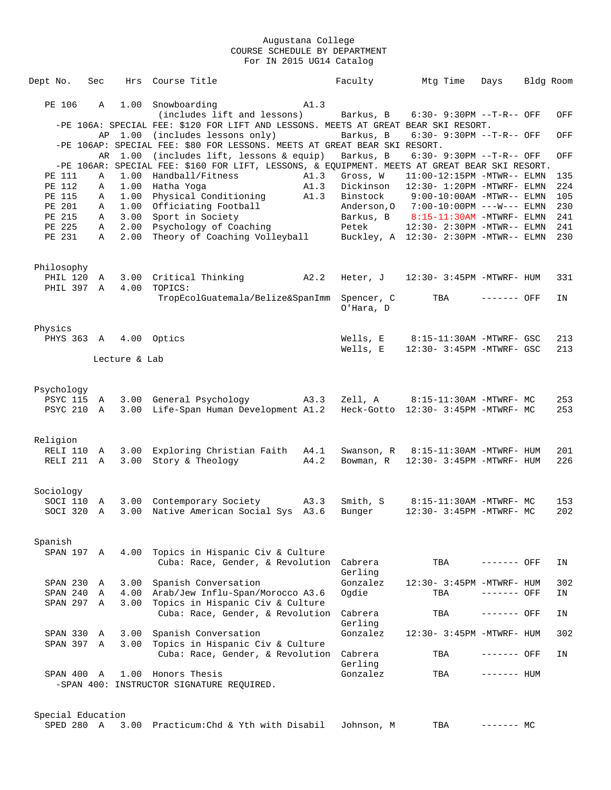| Dept No.                 | Sec    | Hrs           | Course Title                                                                                                  |      | Faculty    | Mtg Time                                                          | Days         | Bldg Room |            |
|--------------------------|--------|---------------|---------------------------------------------------------------------------------------------------------------|------|------------|-------------------------------------------------------------------|--------------|-----------|------------|
|                          |        |               |                                                                                                               |      |            |                                                                   |              |           |            |
| PE 106                   | A      |               | 1.00 Snowboarding                                                                                             | A1.3 |            |                                                                   |              |           |            |
|                          |        |               | (includes lift and lessons)                                                                                   |      | Barkus, B  | $6:30 - 9:30PM -T-R--$ OFF                                        |              |           | OFF        |
|                          |        | AP 1.00       | -PE 106A: SPECIAL FEE: \$120 FOR LIFT AND LESSONS. MEETS AT GREAT BEAR SKI RESORT.<br>(includes lessons only) |      | Barkus, B  | $6:30 - 9:30PM -T-R-7$ OFF                                        |              |           | OFF        |
|                          |        |               | -PE 106AP: SPECIAL FEE: \$80 FOR LESSONS. MEETS AT GREAT BEAR SKI RESORT.                                     |      |            |                                                                   |              |           |            |
|                          | AR     | 1.00          | (includes lift, lessons & equip)                                                                              |      | Barkus, B  | $6:30 - 9:30PM -T-R--OFF$                                         |              |           | OFF        |
|                          |        |               | -PE 106AR: SPECIAL FEE: \$160 FOR LIFT, LESSONS, & EQUIPMENT. MEETS AT GREAT BEAR SKI RESORT.                 |      |            |                                                                   |              |           |            |
| PE 111                   | Α      | 1.00          | Handball/Fitness                                                                                              | A1.3 | Gross, W   | $11:00-12:15PM -MTWR-- ELMN$                                      |              |           | 135        |
| PE 112                   | Α      | 1.00          | Hatha Yoga                                                                                                    | A1.3 | Dickinson  | $12:30 - 1:20PM -MTWRF - ELMN$                                    |              |           | 224        |
| PE 115                   | Α      | 1.00          | Physical Conditioning                                                                                         | A1.3 |            | Binstock 9:00-10:00AM -MTWR-- ELMN                                |              |           | 105        |
| PE 201                   | Α      | 1.00          | Officiating Football                                                                                          |      |            | Anderson, 0 7:00-10:00PM ---W--- ELMN                             |              |           | 230        |
| PE 215<br>PE 225         | Α<br>A | 3.00<br>2.00  | Sport in Society<br>Psychology of Coaching                                                                    |      | Petek      | Barkus, B 8:15-11:30AM -MTWRF- ELMN<br>12:30- 2:30PM -MTWR-- ELMN |              |           | 241<br>241 |
| PE 231                   | Α      | 2.00          | Theory of Coaching Volleyball                                                                                 |      |            | Buckley, A 12:30- 2:30PM -MTWR-- ELMN                             |              |           | 230        |
|                          |        |               |                                                                                                               |      |            |                                                                   |              |           |            |
|                          |        |               |                                                                                                               |      |            |                                                                   |              |           |            |
| Philosophy               |        |               |                                                                                                               |      |            |                                                                   |              |           |            |
| PHIL 120 A               |        |               | 3.00 Critical Thinking<br>A2.2                                                                                |      |            | Heter, $J = 12:30 - 3:45PM - MTWRF - HUM$                         |              |           | 331        |
| PHIL 397 A               |        | 4.00          | TOPICS:                                                                                                       |      |            |                                                                   |              |           |            |
|                          |        |               | TropEcolGuatemala/Belize&SpanImm Spencer, C                                                                   |      |            | TBA                                                               | ------- OFF  |           | ΙN         |
|                          |        |               |                                                                                                               |      | O'Hara, D  |                                                                   |              |           |            |
| Physics                  |        |               |                                                                                                               |      |            |                                                                   |              |           |            |
| PHYS 363 A 4.00 Optics   |        |               |                                                                                                               |      | Wells, E   | 8:15-11:30AM -MTWRF- GSC                                          |              |           | 213        |
|                          |        |               |                                                                                                               |      | Wells, E   | 12:30- 3:45PM -MTWRF- GSC                                         |              |           | 213        |
|                          |        | Lecture & Lab |                                                                                                               |      |            |                                                                   |              |           |            |
|                          |        |               |                                                                                                               |      |            |                                                                   |              |           |            |
|                          |        |               |                                                                                                               |      |            |                                                                   |              |           |            |
| Psychology               |        |               |                                                                                                               |      |            |                                                                   |              |           |            |
|                          |        |               | PSYC 115 A 3.00 General Psychology A3.3                                                                       |      |            | Zell, A 8:15-11:30AM -MTWRF- MC                                   |              |           | 253        |
| PSYC 210 A               |        |               | 3.00 Life-Span Human Development A1.2                                                                         |      |            | Heck-Gotto 12:30- 3:45PM -MTWRF- MC                               |              |           | 253        |
|                          |        |               |                                                                                                               |      |            |                                                                   |              |           |            |
| Religion                 |        |               |                                                                                                               |      |            |                                                                   |              |           |            |
| RELI 110                 | A      | 3.00          | Exploring Christian Faith A4.1                                                                                |      | Swanson, R | 8:15-11:30AM -MTWRF- HUM                                          |              |           | 201        |
| RELI 211 A               |        | 3.00          | Story & Theology                                                                                              | A4.2 | Bowman, R  | 12:30- 3:45PM -MTWRF- HUM                                         |              |           | 226        |
|                          |        |               |                                                                                                               |      |            |                                                                   |              |           |            |
|                          |        |               |                                                                                                               |      |            |                                                                   |              |           |            |
| Sociology                |        |               |                                                                                                               |      |            |                                                                   |              |           |            |
| SOCI 110                 | A      |               | 3.00 Contemporary Society                                                                                     | A3.3 | Smith, S   | 8:15-11:30AM -MTWRF- MC                                           |              |           | 153        |
| SOCI 320                 | A      | 3.00          | Native American Social Sys A3.6                                                                               |      | Bunger     | 12:30- 3:45PM -MTWRF- MC                                          |              |           | 202        |
|                          |        |               |                                                                                                               |      |            |                                                                   |              |           |            |
| Spanish                  |        |               |                                                                                                               |      |            |                                                                   |              |           |            |
| SPAN 197 A               |        | 4.00          | Topics in Hispanic Civ & Culture                                                                              |      |            |                                                                   |              |           |            |
|                          |        |               | Cuba: Race, Gender, & Revolution                                                                              |      | Cabrera    | TBA                                                               | ------- OFF  |           | IN         |
|                          |        |               |                                                                                                               |      | Gerling    |                                                                   |              |           |            |
| SPAN 230                 | A      | 3.00          | Spanish Conversation                                                                                          |      | Gonzalez   | 12:30- 3:45PM -MTWRF- HUM                                         |              |           | 302        |
| SPAN 240                 | Α      | 4.00          | Arab/Jew Influ-Span/Morocco A3.6                                                                              |      | Ogdie      | TBA                                                               | ------- OFF  |           | ΙN         |
| SPAN 297 A               |        | 3.00          | Topics in Hispanic Civ & Culture                                                                              |      |            |                                                                   |              |           |            |
|                          |        |               | Cuba: Race, Gender, & Revolution                                                                              |      | Cabrera    | TBA                                                               | ------- OFF  |           | IN         |
|                          |        |               | Spanish Conversation                                                                                          |      | Gerling    |                                                                   |              |           |            |
| SPAN 330 A<br>SPAN 397 A |        | 3.00<br>3.00  | Topics in Hispanic Civ & Culture                                                                              |      | Gonzalez   | 12:30- 3:45PM -MTWRF- HUM                                         |              |           | 302        |
|                          |        |               | Cuba: Race, Gender, & Revolution                                                                              |      | Cabrera    | TBA                                                               | ------- OFF  |           | IN         |
|                          |        |               |                                                                                                               |      | Gerling    |                                                                   |              |           |            |
|                          |        |               | SPAN 400 A 1.00 Honors Thesis                                                                                 |      | Gonzalez   | TBA                                                               | $------$ HUM |           |            |
|                          |        |               | -SPAN 400: INSTRUCTOR SIGNATURE REQUIRED.                                                                     |      |            |                                                                   |              |           |            |
|                          |        |               |                                                                                                               |      |            |                                                                   |              |           |            |
|                          |        |               |                                                                                                               |      |            |                                                                   |              |           |            |
| Special Education        |        |               |                                                                                                               |      |            |                                                                   |              |           |            |

SPED 280 A 3.00 Practicum:Chd & Yth with Disabil Johnson, M TBA ------- MC